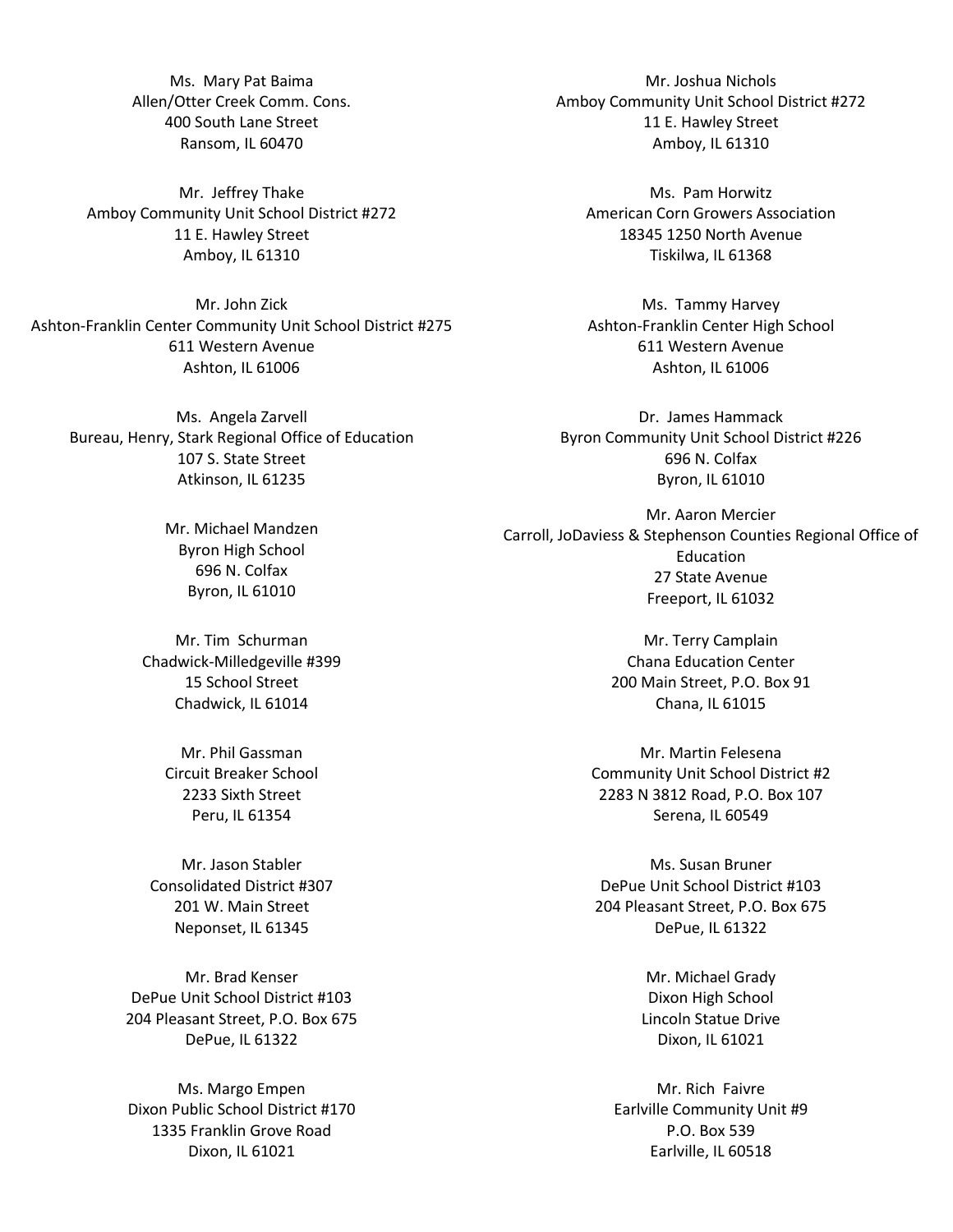Ms. Mary Pat Baima Allen/Otter Creek Comm. Cons. 400 South Lane Street Ransom, IL 60470

Mr. Jeffrey Thake Amboy Community Unit School District #272 11 E. Hawley Street Amboy, IL 61310

Mr. John Zick Ashton-Franklin Center Community Unit School District #275 611 Western Avenue Ashton, IL 61006

Ms. Angela Zarvell Bureau, Henry, Stark Regional Office of Education 107 S. State Street Atkinson, IL 61235

> Mr. Michael Mandzen Byron High School 696 N. Colfax Byron, IL 61010

Mr. Tim Schurman Chadwick-Milledgeville #399 15 School Street Chadwick, IL 61014

> Mr. Phil Gassman Circuit Breaker School 2233 Sixth Street Peru, IL 61354

Mr. Jason Stabler Consolidated District #307 201 W. Main Street Neponset, IL 61345

Mr. Brad Kenser DePue Unit School District #103 204 Pleasant Street, P.O. Box 675 DePue, IL 61322

Ms. Margo Empen Dixon Public School District #170 1335 Franklin Grove Road Dixon, IL 61021

Mr. Joshua Nichols Amboy Community Unit School District #272 11 E. Hawley Street Amboy, IL 61310

Ms. Pam Horwitz American Corn Growers Association 18345 1250 North Avenue Tiskilwa, IL 61368

Ms. Tammy Harvey Ashton-Franklin Center High School 611 Western Avenue Ashton, IL 61006

Dr. James Hammack Byron Community Unit School District #226 696 N. Colfax Byron, IL 61010

Mr. Aaron Mercier Carroll, JoDaviess & Stephenson Counties Regional Office of Education 27 State Avenue Freeport, IL 61032

> Mr. Terry Camplain Chana Education Center 200 Main Street, P.O. Box 91 Chana, IL 61015

Mr. Martin Felesena Community Unit School District #2 2283 N 3812 Road, P.O. Box 107 Serena, IL 60549

Ms. Susan Bruner DePue Unit School District #103 204 Pleasant Street, P.O. Box 675 DePue, IL 61322

> Mr. Michael Grady Dixon High School Lincoln Statue Drive Dixon, IL 61021

Mr. Rich Faivre Earlville Community Unit #9 P.O. Box 539 Earlville, IL 60518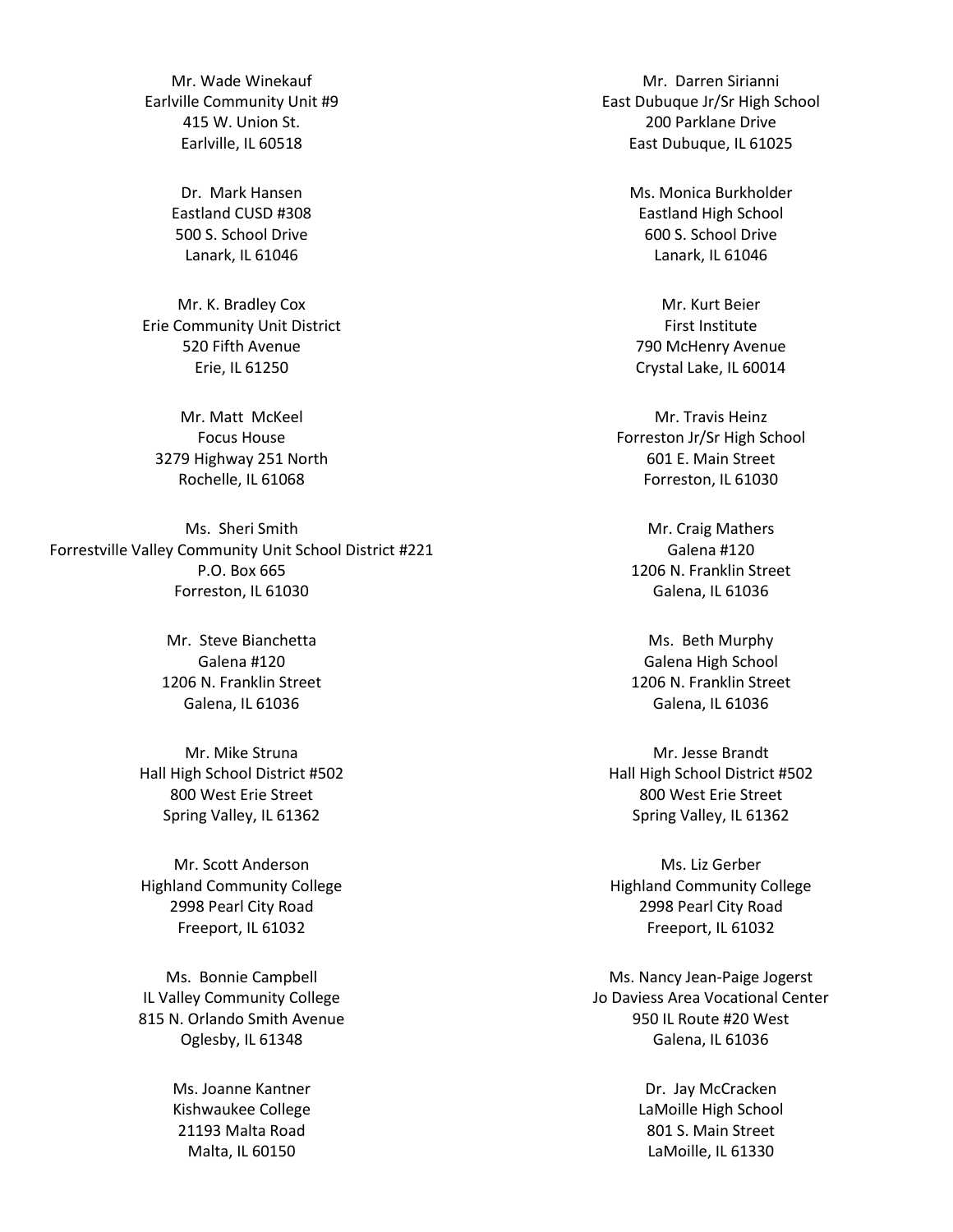Mr. Wade Winekauf Earlville Community Unit #9 415 W. Union St. Earlville, IL 60518

> Dr. Mark Hansen Eastland CUSD #308 500 S. School Drive Lanark, IL 61046

Mr. K. Bradley Cox Erie Community Unit District 520 Fifth Avenue Erie, IL 61250

Mr. Matt McKeel Focus House 3279 Highway 251 North Rochelle, IL 61068

Ms. Sheri Smith Forrestville Valley Community Unit School District #221 P.O. Box 665 Forreston, IL 61030

> Mr. Steve Bianchetta Galena #120 1206 N. Franklin Street Galena, IL 61036

Mr. Mike Struna Hall High School District #502 800 West Erie Street Spring Valley, IL 61362

Mr. Scott Anderson Highland Community College 2998 Pearl City Road Freeport, IL 61032

Ms. Bonnie Campbell IL Valley Community College 815 N. Orlando Smith Avenue Oglesby, IL 61348

> Ms. Joanne Kantner Kishwaukee College 21193 Malta Road Malta, IL 60150

Mr. Darren Sirianni East Dubuque Jr/Sr High School 200 Parklane Drive East Dubuque, IL 61025

> Ms. Monica Burkholder Eastland High School 600 S. School Drive Lanark, IL 61046

Mr. Kurt Beier First Institute 790 McHenry Avenue Crystal Lake, IL 60014

Mr. Travis Heinz Forreston Jr/Sr High School 601 E. Main Street Forreston, IL 61030

Mr. Craig Mathers Galena #120 1206 N. Franklin Street Galena, IL 61036

Ms. Beth Murphy Galena High School 1206 N. Franklin Street Galena, IL 61036

Mr. Jesse Brandt Hall High School District #502 800 West Erie Street Spring Valley, IL 61362

Ms. Liz Gerber Highland Community College 2998 Pearl City Road Freeport, IL 61032

Ms. Nancy Jean-Paige Jogerst Jo Daviess Area Vocational Center 950 IL Route #20 West Galena, IL 61036

> Dr. Jay McCracken LaMoille High School 801 S. Main Street LaMoille, IL 61330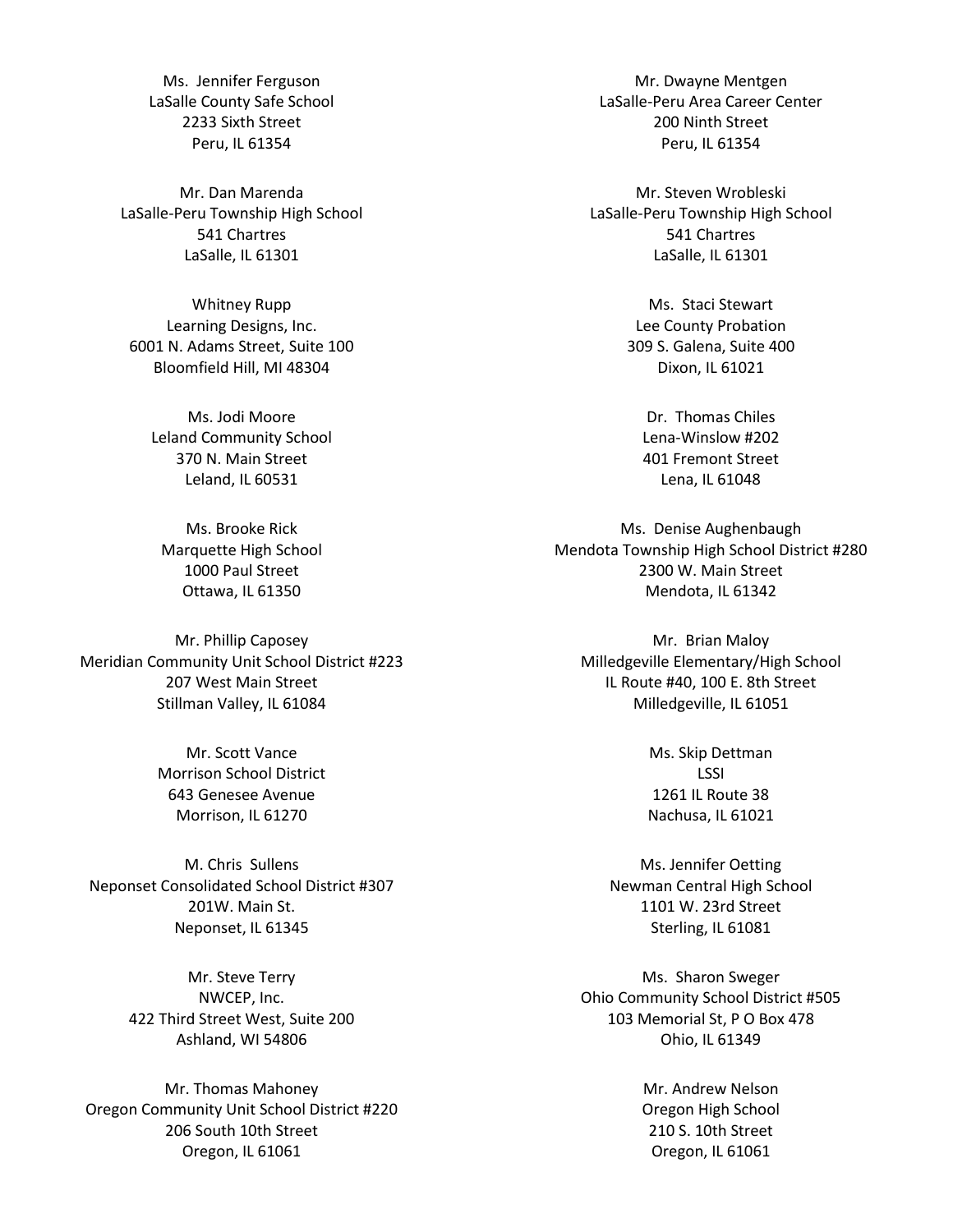Ms. Jennifer Ferguson LaSalle County Safe School 2233 Sixth Street Peru, IL 61354

Mr. Dan Marenda LaSalle-Peru Township High School 541 Chartres LaSalle, IL 61301

Whitney Rupp Learning Designs, Inc. 6001 N. Adams Street, Suite 100 Bloomfield Hill, MI 48304

Ms. Jodi Moore Leland Community School 370 N. Main Street Leland, IL 60531

Ms. Brooke Rick Marquette High School 1000 Paul Street Ottawa, IL 61350

Mr. Phillip Caposey Meridian Community Unit School District #223 207 West Main Street Stillman Valley, IL 61084

> Mr. Scott Vance Morrison School District 643 Genesee Avenue Morrison, IL 61270

M. Chris Sullens Neponset Consolidated School District #307 201W. Main St. Neponset, IL 61345

> Mr. Steve Terry NWCEP, Inc. 422 Third Street West, Suite 200 Ashland, WI 54806

Mr. Thomas Mahoney Oregon Community Unit School District #220 206 South 10th Street Oregon, IL 61061

Mr. Dwayne Mentgen LaSalle-Peru Area Career Center 200 Ninth Street Peru, IL 61354

Mr. Steven Wrobleski LaSalle-Peru Township High School 541 Chartres LaSalle, IL 61301

> Ms. Staci Stewart Lee County Probation 309 S. Galena, Suite 400 Dixon, IL 61021

Dr. Thomas Chiles Lena-Winslow #202 401 Fremont Street Lena, IL 61048

Ms. Denise Aughenbaugh Mendota Township High School District #280 2300 W. Main Street Mendota, IL 61342

Mr. Brian Maloy Milledgeville Elementary/High School IL Route #40, 100 E. 8th Street Milledgeville, IL 61051

> Ms. Skip Dettman LSSI 1261 IL Route 38 Nachusa, IL 61021

Ms. Jennifer Oetting Newman Central High School 1101 W. 23rd Street Sterling, IL 61081

Ms. Sharon Sweger Ohio Community School District #505 103 Memorial St, P O Box 478 Ohio, IL 61349

> Mr. Andrew Nelson Oregon High School 210 S. 10th Street Oregon, IL 61061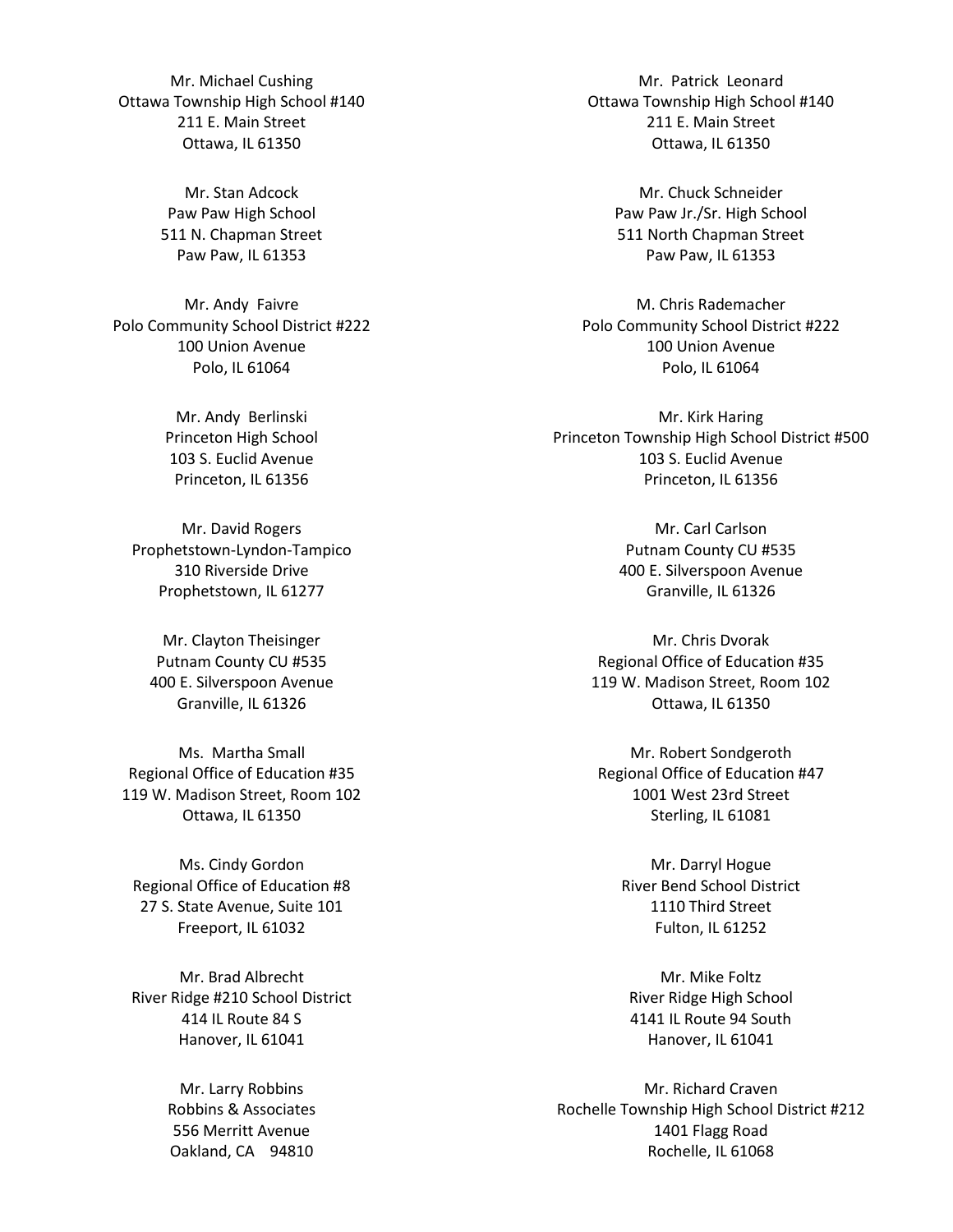Mr. Michael Cushing Ottawa Township High School #140 211 E. Main Street Ottawa, IL 61350

> Mr. Stan Adcock Paw Paw High School 511 N. Chapman Street Paw Paw, IL 61353

Mr. Andy Faivre Polo Community School District #222 100 Union Avenue Polo, IL 61064

> Mr. Andy Berlinski Princeton High School 103 S. Euclid Avenue Princeton, IL 61356

Mr. David Rogers Prophetstown-Lyndon-Tampico 310 Riverside Drive Prophetstown, IL 61277

Mr. Clayton Theisinger Putnam County CU #535 400 E. Silverspoon Avenue Granville, IL 61326

Ms. Martha Small Regional Office of Education #35 119 W. Madison Street, Room 102 Ottawa, IL 61350

Ms. Cindy Gordon Regional Office of Education #8 27 S. State Avenue, Suite 101 Freeport, IL 61032

Mr. Brad Albrecht River Ridge #210 School District 414 IL Route 84 S Hanover, IL 61041

> Mr. Larry Robbins Robbins & Associates 556 Merritt Avenue Oakland, CA 94810

Mr. Patrick Leonard Ottawa Township High School #140 211 E. Main Street Ottawa, IL 61350

> Mr. Chuck Schneider Paw Paw Jr./Sr. High School 511 North Chapman Street Paw Paw, IL 61353

M. Chris Rademacher Polo Community School District #222 100 Union Avenue Polo, IL 61064

Mr. Kirk Haring Princeton Township High School District #500 103 S. Euclid Avenue Princeton, IL 61356

> Mr. Carl Carlson Putnam County CU #535 400 E. Silverspoon Avenue Granville, IL 61326

Mr. Chris Dvorak Regional Office of Education #35 119 W. Madison Street, Room 102 Ottawa, IL 61350

Mr. Robert Sondgeroth Regional Office of Education #47 1001 West 23rd Street Sterling, IL 61081

Mr. Darryl Hogue River Bend School District 1110 Third Street Fulton, IL 61252

Mr. Mike Foltz River Ridge High School 4141 IL Route 94 South Hanover, IL 61041

Mr. Richard Craven Rochelle Township High School District #212 1401 Flagg Road Rochelle, IL 61068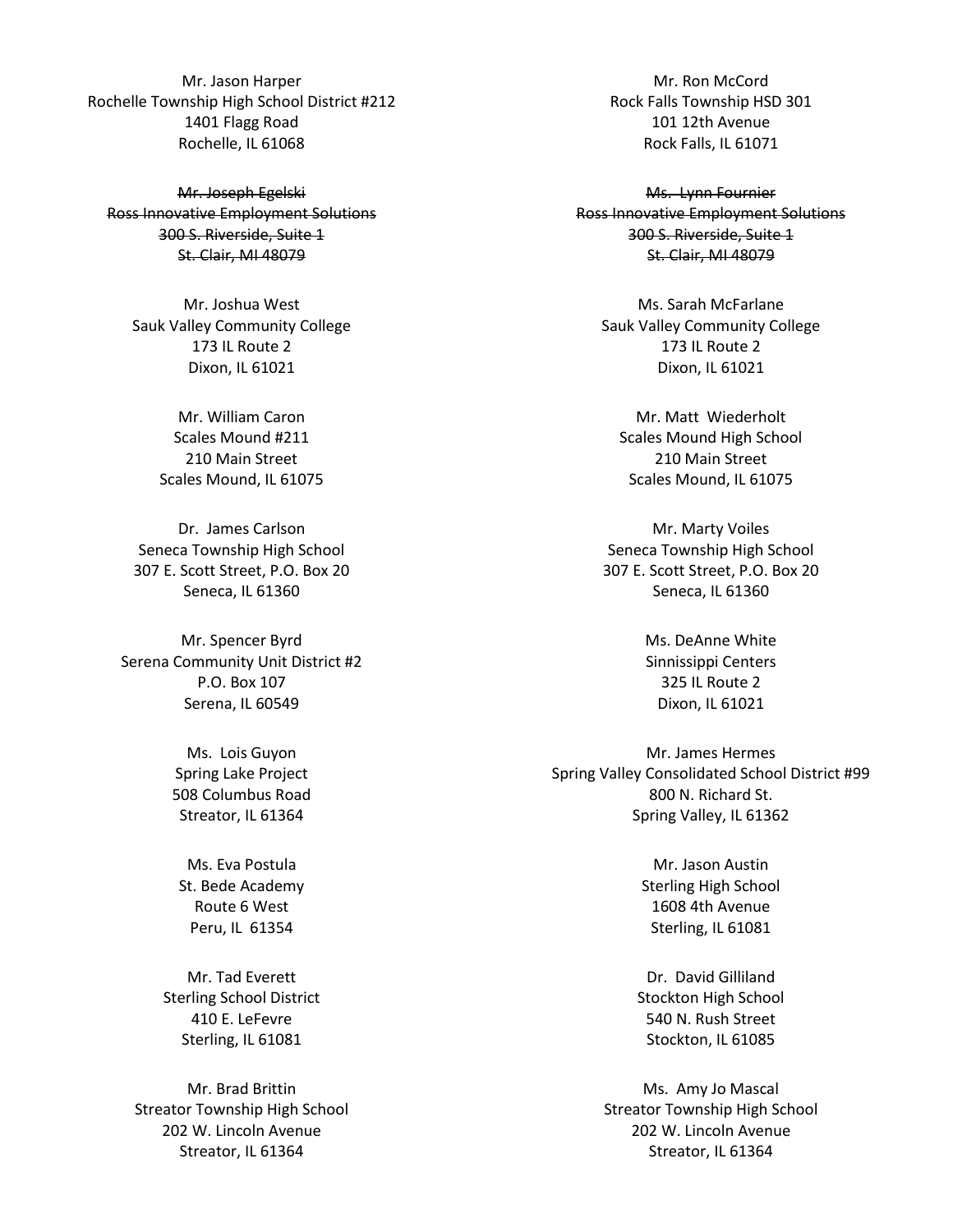Mr. Jason Harper Rochelle Township High School District #212 1401 Flagg Road Rochelle, IL 61068

Mr. Joseph Egelski Ross Innovative Employment Solutions 300 S. Riverside, Suite 1 St. Clair, MI 48079

Mr. Joshua West Sauk Valley Community College 173 IL Route 2 Dixon, IL 61021

> Mr. William Caron Scales Mound #211 210 Main Street Scales Mound, IL 61075

Dr. James Carlson Seneca Township High School 307 E. Scott Street, P.O. Box 20 Seneca, IL 61360

Mr. Spencer Byrd Serena Community Unit District #2 P.O. Box 107 Serena, IL 60549

> Ms. Lois Guyon Spring Lake Project 508 Columbus Road Streator, IL 61364

Ms. Eva Postula St. Bede Academy Route 6 West Peru, IL 61354

Mr. Tad Everett Sterling School District 410 E. LeFevre Sterling, IL 61081

Mr. Brad Brittin Streator Township High School 202 W. Lincoln Avenue Streator, IL 61364

Mr. Ron McCord Rock Falls Township HSD 301 101 12th Avenue Rock Falls, IL 61071

Ms. Lynn Fournier Ross Innovative Employment Solutions 300 S. Riverside, Suite 1 St. Clair, MI 48079

Ms. Sarah McFarlane Sauk Valley Community College 173 IL Route 2 Dixon, IL 61021

Mr. Matt Wiederholt Scales Mound High School 210 Main Street Scales Mound, IL 61075

Mr. Marty Voiles Seneca Township High School 307 E. Scott Street, P.O. Box 20 Seneca, IL 61360

> Ms. DeAnne White Sinnissippi Centers 325 IL Route 2 Dixon, IL 61021

Mr. James Hermes Spring Valley Consolidated School District #99 800 N. Richard St. Spring Valley, IL 61362

> Mr. Jason Austin Sterling High School 1608 4th Avenue Sterling, IL 61081

Dr. David Gilliland Stockton High School 540 N. Rush Street Stockton, IL 61085

Ms. Amy Jo Mascal Streator Township High School 202 W. Lincoln Avenue Streator, IL 61364